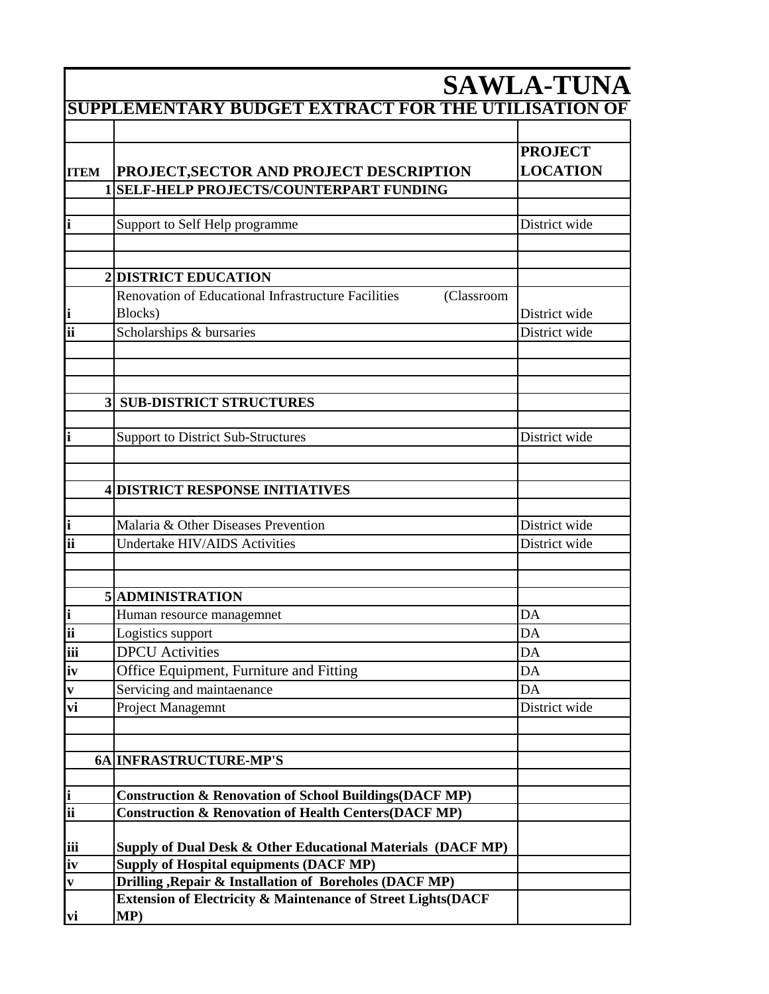|      |                                                                              | <b>SAWLA-TUNA</b>                 |
|------|------------------------------------------------------------------------------|-----------------------------------|
|      | SUPPLEMENTARY BUDGET EXTRACT FOR THE UTILISATION OF                          |                                   |
|      |                                                                              |                                   |
|      | <b>ITEM PROJECT, SECTOR AND PROJECT DESCRIPTION</b>                          | <b>PROJECT</b><br><b>LOCATION</b> |
|      | 1 SELF-HELP PROJECTS/COUNTERPART FUNDING                                     |                                   |
|      |                                                                              |                                   |
|      | Support to Self Help programme                                               | District wide                     |
|      |                                                                              |                                   |
|      |                                                                              |                                   |
|      | <b>2DISTRICT EDUCATION</b>                                                   |                                   |
|      | Renovation of Educational Infrastructure Facilities<br>(Classroom<br>Blocks) |                                   |
| lii. | Scholarships & bursaries                                                     | District wide<br>District wide    |
|      |                                                                              |                                   |
|      |                                                                              |                                   |
|      |                                                                              |                                   |
|      | <b>3 SUB-DISTRICT STRUCTURES</b>                                             |                                   |
|      |                                                                              |                                   |
|      | Support to District Sub-Structures                                           | District wide                     |
|      |                                                                              |                                   |
|      |                                                                              |                                   |
|      | <b>4DISTRICT RESPONSE INITIATIVES</b>                                        |                                   |
|      |                                                                              |                                   |
|      | Malaria & Other Diseases Prevention                                          | District wide                     |
|      | Undertake HIV/AIDS Activities                                                | District wide                     |
|      |                                                                              |                                   |
|      | 5 ADMINISTRATION                                                             |                                   |
|      |                                                                              |                                   |
| ii   | Human resource managemnet                                                    | DA<br>DA                          |
| iii  | Logistics support<br><b>DPCU</b> Activities                                  | $\mathbf{DA}$                     |
|      |                                                                              | $\mathbf{DA}$                     |
| iv   | Office Equipment, Furniture and Fitting<br>Servicing and maintaenance        | DA                                |
| vi   | Project Managemnt                                                            | District wide                     |
|      |                                                                              |                                   |
|      |                                                                              |                                   |
|      | 6A INFRASTRUCTURE-MP'S                                                       |                                   |
|      |                                                                              |                                   |
|      | <b>Construction &amp; Renovation of School Buildings(DACF MP)</b>            |                                   |
|      | <b>Construction &amp; Renovation of Health Centers (DACF MP)</b>             |                                   |
|      |                                                                              |                                   |
| iii  | Supply of Dual Desk & Other Educational Materials (DACF MP)                  |                                   |
| iv   | Supply of Hospital equipments (DACF MP)                                      |                                   |
|      | <b>Drilling , Repair &amp; Installation of Boreholes (DACF MP)</b>           |                                   |
|      | Extension of Electricity & Maintenance of Street Lights(DACF                 |                                   |
| vi   | MP)                                                                          |                                   |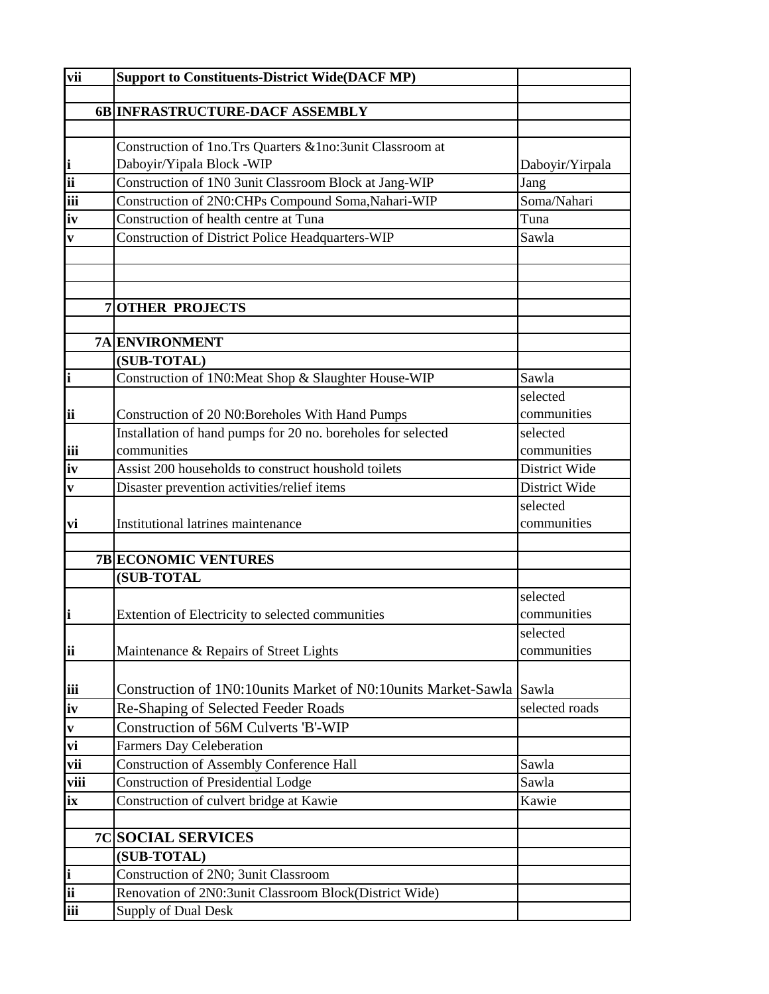| vii                      | <b>Support to Constituents-District Wide(DACF MP)</b>                              |                 |
|--------------------------|------------------------------------------------------------------------------------|-----------------|
|                          | 6B INFRASTRUCTURE-DACF ASSEMBLY                                                    |                 |
|                          |                                                                                    |                 |
|                          | Construction of 1no.Trs Quarters & 1no:3unit Classroom at                          |                 |
| i                        | Daboyir/Yipala Block -WIP                                                          | Daboyir/Yirpala |
| $\overline{\textbf{ii}}$ | Construction of 1N0 3unit Classroom Block at Jang-WIP                              | Jang            |
| iii                      | Construction of 2N0:CHPs Compound Soma, Nahari-WIP                                 | Soma/Nahari     |
| iv                       | Construction of health centre at Tuna                                              | Tuna            |
| V                        | <b>Construction of District Police Headquarters-WIP</b>                            | Sawla           |
|                          |                                                                                    |                 |
|                          |                                                                                    |                 |
|                          |                                                                                    |                 |
|                          | <b>7 OTHER PROJECTS</b>                                                            |                 |
|                          | <b>7A ENVIRONMENT</b>                                                              |                 |
|                          | (SUB-TOTAL)                                                                        |                 |
| i                        | Construction of 1N0:Meat Shop & Slaughter House-WIP                                | Sawla           |
|                          |                                                                                    | selected        |
| ii                       | Construction of 20 N0:Boreholes With Hand Pumps                                    | communities     |
|                          | Installation of hand pumps for 20 no. boreholes for selected                       | selected        |
| iii                      | communities                                                                        | communities     |
| iv                       | Assist 200 households to construct houshold toilets                                | District Wide   |
| V                        | Disaster prevention activities/relief items                                        | District Wide   |
|                          |                                                                                    | selected        |
| vi                       | Institutional latrines maintenance                                                 | communities     |
|                          |                                                                                    |                 |
|                          | <b>7B ECONOMIC VENTURES</b>                                                        |                 |
|                          | (SUB-TOTAL                                                                         |                 |
|                          |                                                                                    | selected        |
|                          | Extention of Electricity to selected communities                                   | communities     |
|                          |                                                                                    | selected        |
| ii                       | Maintenance & Repairs of Street Lights                                             | communities     |
|                          | Construction of 1N0:10units Market of N0:10units Market-Sawla Sawla                |                 |
| iii                      |                                                                                    | selected roads  |
| iv                       | Re-Shaping of Selected Feeder Roads<br><b>Construction of 56M Culverts 'B'-WIP</b> |                 |
| $\mathbf{v}$             |                                                                                    |                 |
| vi                       | <b>Farmers Day Celeberation</b>                                                    |                 |
| vii                      | <b>Construction of Assembly Conference Hall</b>                                    | Sawla           |
| viii                     | <b>Construction of Presidential Lodge</b>                                          | Sawla           |
| ix                       | Construction of culvert bridge at Kawie                                            | Kawie           |
|                          | <b>7C SOCIAL SERVICES</b>                                                          |                 |
|                          | (SUB-TOTAL)                                                                        |                 |
| i                        | Construction of 2N0; 3unit Classroom                                               |                 |
| ii                       | Renovation of 2N0:3unit Classroom Block(District Wide)                             |                 |
| iii                      | Supply of Dual Desk                                                                |                 |
|                          |                                                                                    |                 |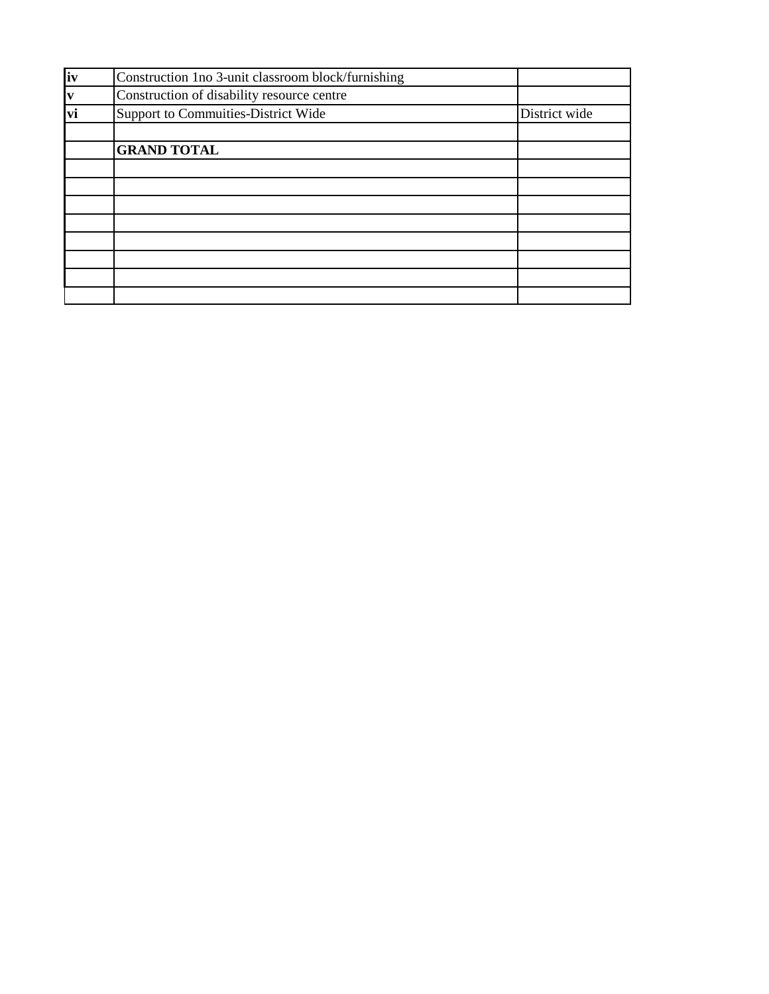| iv             | Construction 1no 3-unit classroom block/furnishing |               |
|----------------|----------------------------------------------------|---------------|
| $\frac{v}{vi}$ | Construction of disability resource centre         |               |
|                | Support to Commuities-District Wide                | District wide |
|                | <b>GRAND TOTAL</b>                                 |               |
|                |                                                    |               |
|                |                                                    |               |
|                |                                                    |               |
|                |                                                    |               |
|                |                                                    |               |
|                |                                                    |               |
|                |                                                    |               |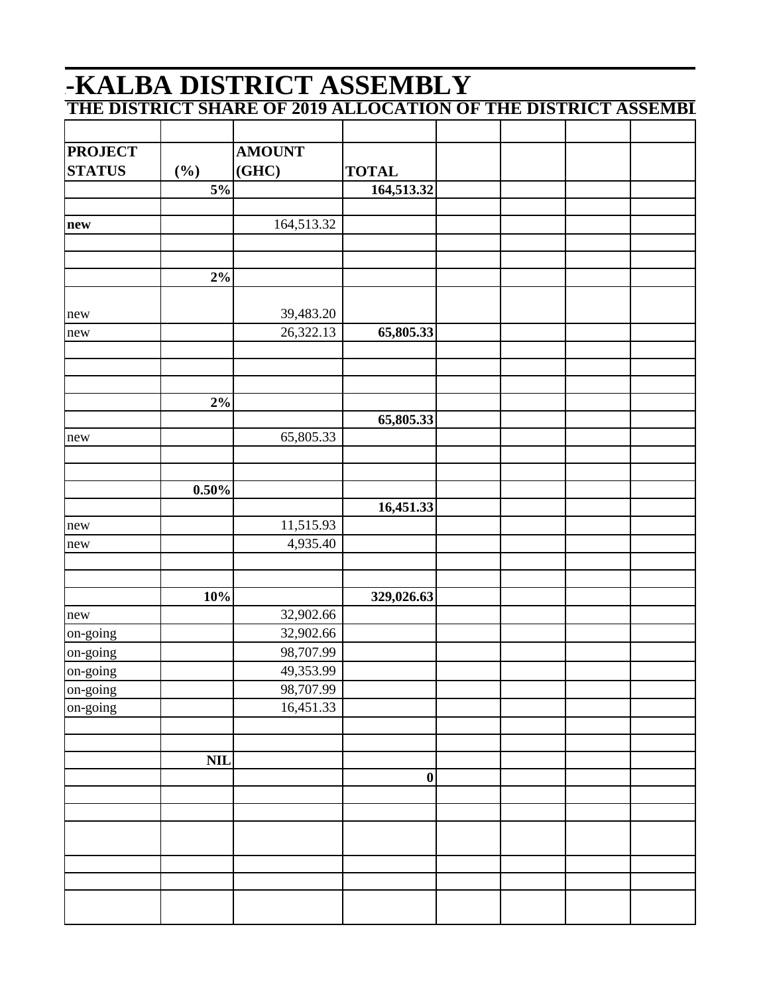## -KALBA DISTRICT ASSEMBLY THE DISTRICT SHARE OF 2019 ALLOCATION OF THE DISTRICT ASSEMBI

| <b>PROJECT</b> |                 | <b>AMOUNT</b> |                  |  |  |
|----------------|-----------------|---------------|------------------|--|--|
| <b>STATUS</b>  | $(\frac{6}{6})$ | (GHC)         | <b>TOTAL</b>     |  |  |
|                | 5%              |               | 164,513.32       |  |  |
|                |                 |               |                  |  |  |
| new            |                 | 164,513.32    |                  |  |  |
|                |                 |               |                  |  |  |
|                |                 |               |                  |  |  |
|                | $2\%$           |               |                  |  |  |
|                |                 |               |                  |  |  |
| new            |                 | 39,483.20     |                  |  |  |
| new            |                 | 26,322.13     | 65,805.33        |  |  |
|                |                 |               |                  |  |  |
|                |                 |               |                  |  |  |
|                | $2\%$           |               |                  |  |  |
|                |                 |               | 65,805.33        |  |  |
| new            |                 | 65,805.33     |                  |  |  |
|                |                 |               |                  |  |  |
|                |                 |               |                  |  |  |
|                | $0.50\%$        |               |                  |  |  |
|                |                 |               | 16,451.33        |  |  |
| new            |                 | 11,515.93     |                  |  |  |
| new            |                 | 4,935.40      |                  |  |  |
|                |                 |               |                  |  |  |
|                |                 |               |                  |  |  |
|                | 10%             |               | 329,026.63       |  |  |
| new            |                 | 32,902.66     |                  |  |  |
| on-going       |                 | 32,902.66     |                  |  |  |
| on-going       |                 | 98,707.99     |                  |  |  |
| on-going       |                 | 49,353.99     |                  |  |  |
| on-going       |                 | 98,707.99     |                  |  |  |
| on-going       |                 | 16,451.33     |                  |  |  |
|                |                 |               |                  |  |  |
|                |                 |               |                  |  |  |
|                | <b>NIL</b>      |               |                  |  |  |
|                |                 |               | $\boldsymbol{0}$ |  |  |
|                |                 |               |                  |  |  |
|                |                 |               |                  |  |  |
|                |                 |               |                  |  |  |
|                |                 |               |                  |  |  |
|                |                 |               |                  |  |  |
|                |                 |               |                  |  |  |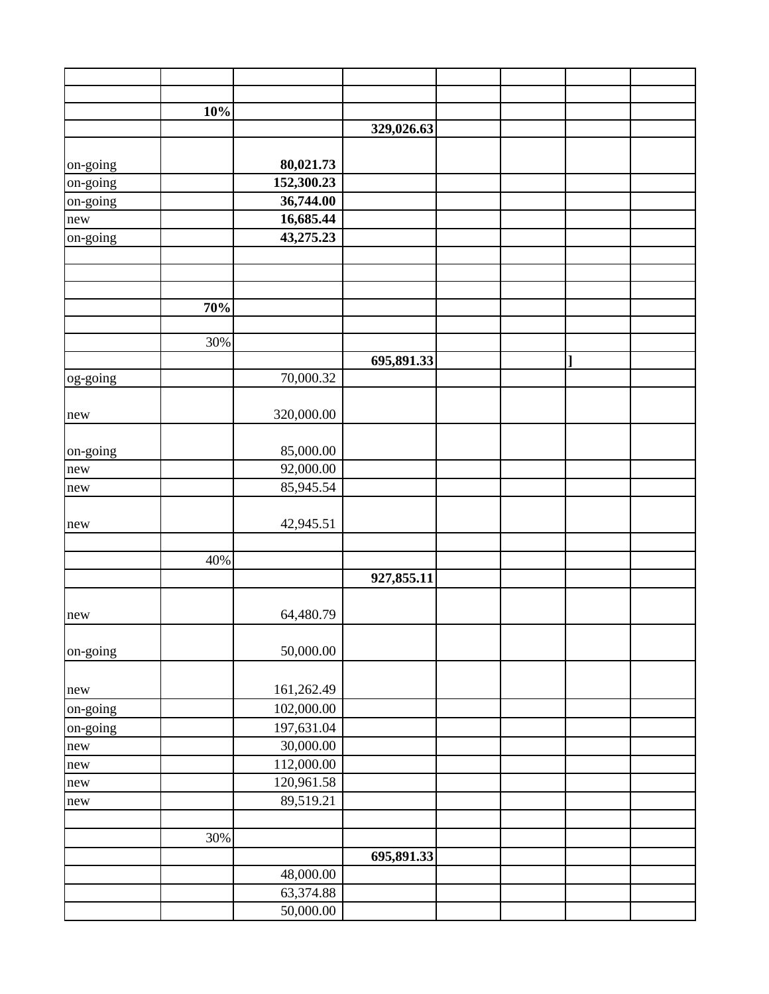|          | 10% |            |            |  |  |
|----------|-----|------------|------------|--|--|
|          |     |            | 329,026.63 |  |  |
|          |     |            |            |  |  |
| on-going |     | 80,021.73  |            |  |  |
| on-going |     | 152,300.23 |            |  |  |
| on-going |     | 36,744.00  |            |  |  |
| new      |     | 16,685.44  |            |  |  |
| on-going |     | 43,275.23  |            |  |  |
|          |     |            |            |  |  |
|          |     |            |            |  |  |
|          | 70% |            |            |  |  |
|          |     |            |            |  |  |
|          | 30% |            |            |  |  |
|          |     |            | 695,891.33 |  |  |
| og-going |     | 70,000.32  |            |  |  |
|          |     |            |            |  |  |
| new      |     | 320,000.00 |            |  |  |
|          |     |            |            |  |  |
| on-going |     | 85,000.00  |            |  |  |
| new      |     | 92,000.00  |            |  |  |
| new      |     | 85,945.54  |            |  |  |
| new      |     | 42,945.51  |            |  |  |
|          |     |            |            |  |  |
|          | 40% |            |            |  |  |
|          |     |            | 927,855.11 |  |  |
| new      |     | 64,480.79  |            |  |  |
| on-going |     | 50,000.00  |            |  |  |
| new      |     | 161,262.49 |            |  |  |
| on-going |     | 102,000.00 |            |  |  |
| on-going |     | 197,631.04 |            |  |  |
| new      |     | 30,000.00  |            |  |  |
| new      |     | 112,000.00 |            |  |  |
| new      |     | 120,961.58 |            |  |  |
| new      |     | 89,519.21  |            |  |  |
|          |     |            |            |  |  |
|          | 30% |            |            |  |  |
|          |     |            | 695,891.33 |  |  |
|          |     | 48,000.00  |            |  |  |
|          |     | 63,374.88  |            |  |  |
|          |     | 50,000.00  |            |  |  |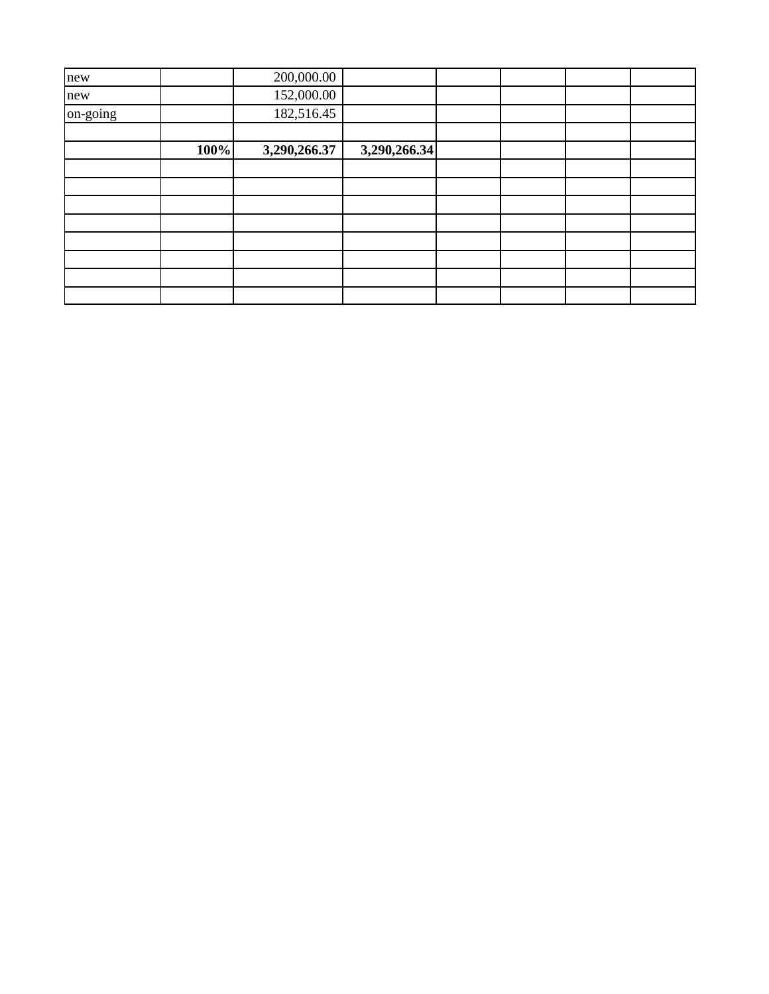| new      |      | 200,000.00   |              |  |  |
|----------|------|--------------|--------------|--|--|
| new      |      | 152,000.00   |              |  |  |
| on-going |      | 182,516.45   |              |  |  |
|          |      |              |              |  |  |
|          | 100% | 3,290,266.37 | 3,290,266.34 |  |  |
|          |      |              |              |  |  |
|          |      |              |              |  |  |
|          |      |              |              |  |  |
|          |      |              |              |  |  |
|          |      |              |              |  |  |
|          |      |              |              |  |  |
|          |      |              |              |  |  |
|          |      |              |              |  |  |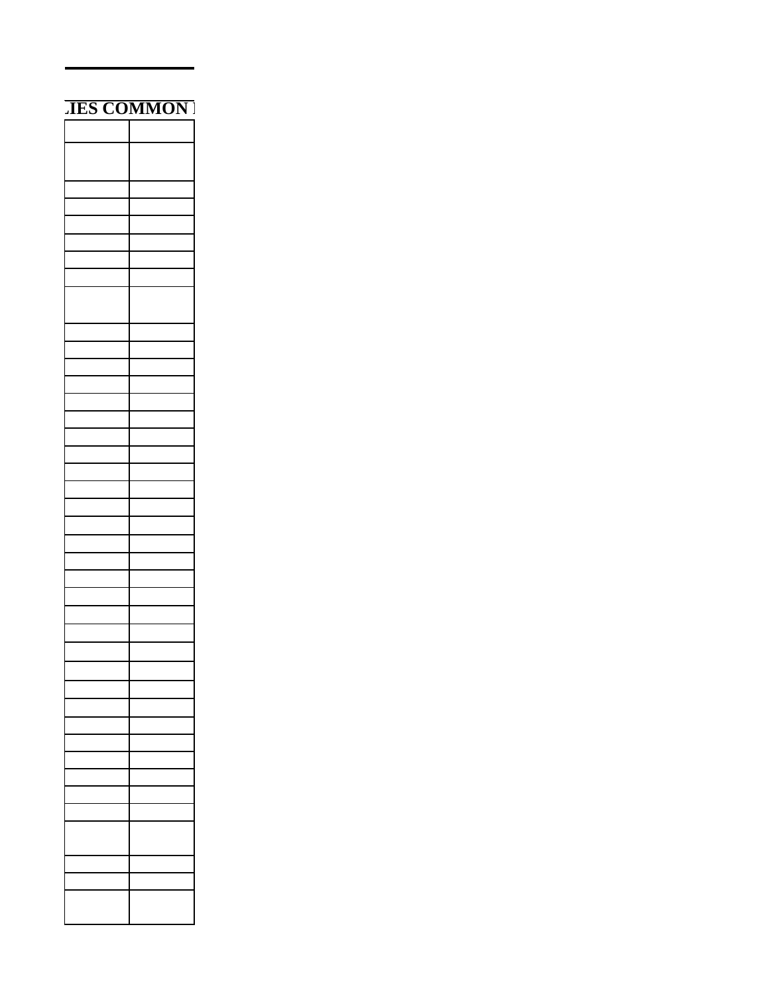| <b>JES COMMON</b> |
|-------------------|
|                   |
|                   |
|                   |
|                   |
|                   |
|                   |
|                   |
|                   |
|                   |
|                   |
|                   |
|                   |
|                   |
|                   |
|                   |
|                   |
|                   |
|                   |
|                   |
|                   |
|                   |
|                   |
|                   |
|                   |
|                   |
|                   |
|                   |
|                   |
|                   |
|                   |
|                   |
|                   |
|                   |
|                   |
|                   |
|                   |
|                   |
|                   |
|                   |
|                   |
|                   |
|                   |
|                   |
|                   |
|                   |
|                   |
|                   |
|                   |
|                   |